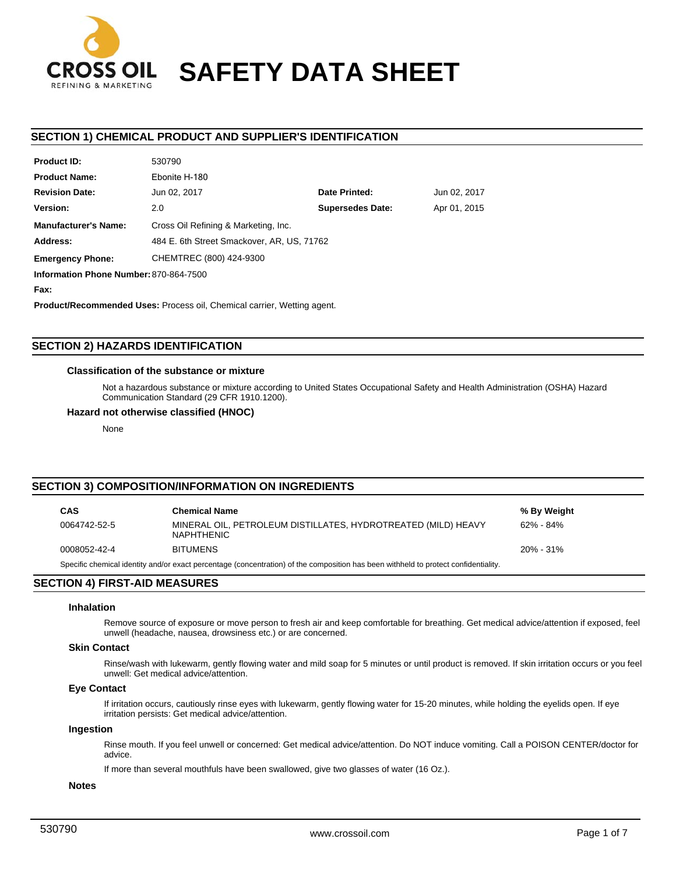

# **SAFETY DATA SHEET**

# **SECTION 1) CHEMICAL PRODUCT AND SUPPLIER'S IDENTIFICATION**

| Product ID.                            | ວວບ/ ສບ                                    |                         |              |  |
|----------------------------------------|--------------------------------------------|-------------------------|--------------|--|
| <b>Product Name:</b>                   | Ebonite H-180                              |                         |              |  |
| <b>Revision Date:</b>                  | Jun 02, 2017                               | Date Printed:           | Jun 02, 2017 |  |
| Version:                               | 2.0                                        | <b>Supersedes Date:</b> | Apr 01, 2015 |  |
| <b>Manufacturer's Name:</b>            | Cross Oil Refining & Marketing, Inc.       |                         |              |  |
| Address:                               | 484 E. 6th Street Smackover, AR, US, 71762 |                         |              |  |
| <b>Emergency Phone:</b>                | CHEMTREC (800) 424-9300                    |                         |              |  |
| Information Phone Number: 870-864-7500 |                                            |                         |              |  |
|                                        |                                            |                         |              |  |

**Fax:**

**Product ID:**

**Product/Recommended Uses:** Process oil, Chemical carrier, Wetting agent.

# **SECTION 2) HAZARDS IDENTIFICATION**

## **Classification of the substance or mixture**

530790

Not a hazardous substance or mixture according to United States Occupational Safety and Health Administration (OSHA) Hazard Communication Standard (29 CFR 1910.1200).

## **Hazard not otherwise classified (HNOC)**

None

# **SECTION 3) COMPOSITION/INFORMATION ON INGREDIENTS**

| <b>CAS</b>                                                                                                                          | <b>Chemical Name</b>                                                               | % By Weight |  |
|-------------------------------------------------------------------------------------------------------------------------------------|------------------------------------------------------------------------------------|-------------|--|
| 0064742-52-5                                                                                                                        | MINERAL OIL, PETROLEUM DISTILLATES, HYDROTREATED (MILD) HEAVY<br><b>NAPHTHENIC</b> | 62% - 84%   |  |
| 0008052-42-4                                                                                                                        | <b>BITUMENS</b>                                                                    | 20% - 31%   |  |
| Specific chemical identity and/or exact percentage (concentration) of the composition has been withheld to protect confidentiality. |                                                                                    |             |  |

# **SECTION 4) FIRST-AID MEASURES**

## **Inhalation**

Remove source of exposure or move person to fresh air and keep comfortable for breathing. Get medical advice/attention if exposed, feel unwell (headache, nausea, drowsiness etc.) or are concerned.

# **Skin Contact**

Rinse/wash with lukewarm, gently flowing water and mild soap for 5 minutes or until product is removed. If skin irritation occurs or you feel unwell: Get medical advice/attention.

## **Eye Contact**

If irritation occurs, cautiously rinse eyes with lukewarm, gently flowing water for 15-20 minutes, while holding the eyelids open. If eye irritation persists: Get medical advice/attention.

## **Ingestion**

Rinse mouth. If you feel unwell or concerned: Get medical advice/attention. Do NOT induce vomiting. Call a POISON CENTER/doctor for advice.

If more than several mouthfuls have been swallowed, give two glasses of water (16 Oz.).

#### **Notes**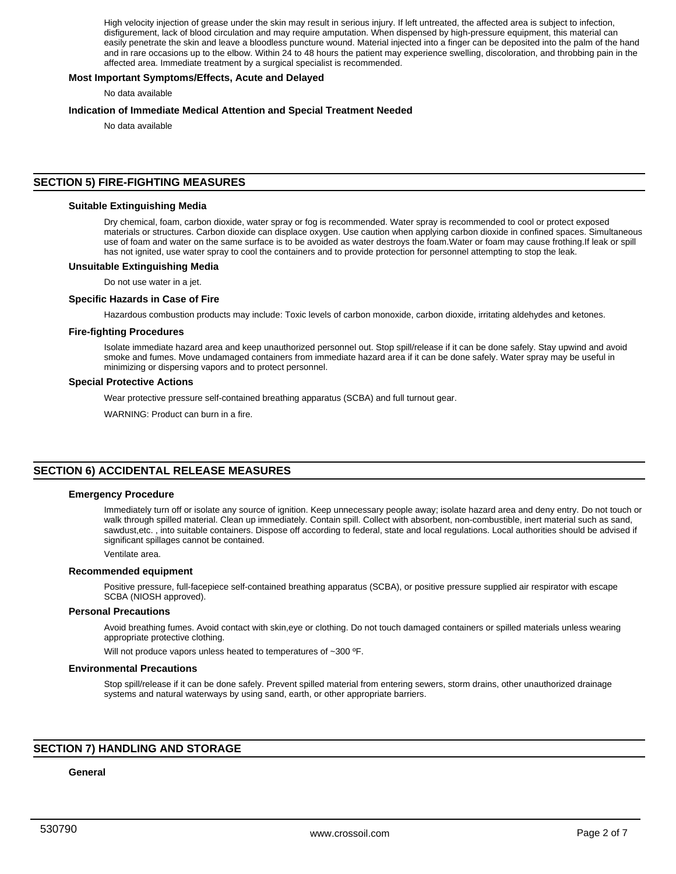High velocity injection of grease under the skin may result in serious injury. If left untreated, the affected area is subject to infection, disfigurement, lack of blood circulation and may require amputation. When dispensed by high-pressure equipment, this material can easily penetrate the skin and leave a bloodless puncture wound. Material injected into a finger can be deposited into the palm of the hand and in rare occasions up to the elbow. Within 24 to 48 hours the patient may experience swelling, discoloration, and throbbing pain in the affected area. Immediate treatment by a surgical specialist is recommended.

## **Most Important Symptoms/Effects, Acute and Delayed**

No data available

## **Indication of Immediate Medical Attention and Special Treatment Needed**

No data available

# **SECTION 5) FIRE-FIGHTING MEASURES**

## **Suitable Extinguishing Media**

Dry chemical, foam, carbon dioxide, water spray or fog is recommended. Water spray is recommended to cool or protect exposed materials or structures. Carbon dioxide can displace oxygen. Use caution when applying carbon dioxide in confined spaces. Simultaneous use of foam and water on the same surface is to be avoided as water destroys the foam.Water or foam may cause frothing.If leak or spill has not ignited, use water spray to cool the containers and to provide protection for personnel attempting to stop the leak.

## **Unsuitable Extinguishing Media**

Do not use water in a jet.

#### **Specific Hazards in Case of Fire**

Hazardous combustion products may include: Toxic levels of carbon monoxide, carbon dioxide, irritating aldehydes and ketones.

#### **Fire-fighting Procedures**

Isolate immediate hazard area and keep unauthorized personnel out. Stop spill/release if it can be done safely. Stay upwind and avoid smoke and fumes. Move undamaged containers from immediate hazard area if it can be done safely. Water spray may be useful in minimizing or dispersing vapors and to protect personnel.

## **Special Protective Actions**

Wear protective pressure self-contained breathing apparatus (SCBA) and full turnout gear.

WARNING: Product can burn in a fire.

# **SECTION 6) ACCIDENTAL RELEASE MEASURES**

#### **Emergency Procedure**

Immediately turn off or isolate any source of ignition. Keep unnecessary people away; isolate hazard area and deny entry. Do not touch or walk through spilled material. Clean up immediately. Contain spill. Collect with absorbent, non-combustible, inert material such as sand, sawdust,etc. , into suitable containers. Dispose off according to federal, state and local regulations. Local authorities should be advised if significant spillages cannot be contained.

#### Ventilate area.

#### **Recommended equipment**

Positive pressure, full-facepiece self-contained breathing apparatus (SCBA), or positive pressure supplied air respirator with escape SCBA (NIOSH approved).

#### **Personal Precautions**

Avoid breathing fumes. Avoid contact with skin,eye or clothing. Do not touch damaged containers or spilled materials unless wearing appropriate protective clothing.

Will not produce vapors unless heated to temperatures of ~300 °F.

## **Environmental Precautions**

Stop spill/release if it can be done safely. Prevent spilled material from entering sewers, storm drains, other unauthorized drainage systems and natural waterways by using sand, earth, or other appropriate barriers.

## **SECTION 7) HANDLING AND STORAGE**

#### **General**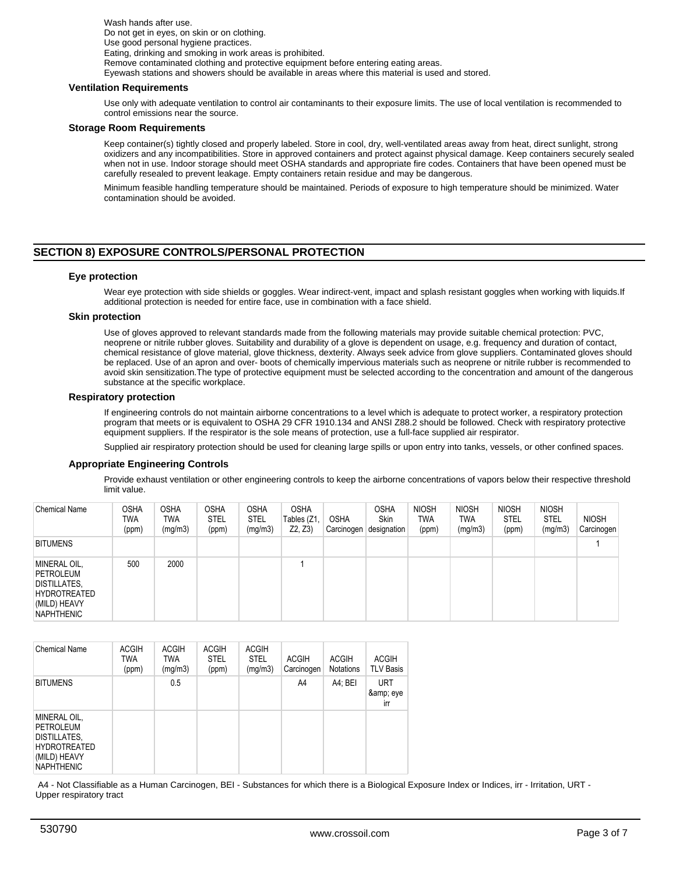Wash hands after use. Do not get in eyes, on skin or on clothing. Use good personal hygiene practices. Eating, drinking and smoking in work areas is prohibited. Remove contaminated clothing and protective equipment before entering eating areas. Eyewash stations and showers should be available in areas where this material is used and stored.

## **Ventilation Requirements**

Use only with adequate ventilation to control air contaminants to their exposure limits. The use of local ventilation is recommended to control emissions near the source.

## **Storage Room Requirements**

Keep container(s) tightly closed and properly labeled. Store in cool, dry, well-ventilated areas away from heat, direct sunlight, strong oxidizers and any incompatibilities. Store in approved containers and protect against physical damage. Keep containers securely sealed when not in use. Indoor storage should meet OSHA standards and appropriate fire codes. Containers that have been opened must be carefully resealed to prevent leakage. Empty containers retain residue and may be dangerous.

Minimum feasible handling temperature should be maintained. Periods of exposure to high temperature should be minimized. Water contamination should be avoided.

# **SECTION 8) EXPOSURE CONTROLS/PERSONAL PROTECTION**

## **Eye protection**

Wear eye protection with side shields or goggles. Wear indirect-vent, impact and splash resistant goggles when working with liquids.If additional protection is needed for entire face, use in combination with a face shield.

#### **Skin protection**

Use of gloves approved to relevant standards made from the following materials may provide suitable chemical protection: PVC, neoprene or nitrile rubber gloves. Suitability and durability of a glove is dependent on usage, e.g. frequency and duration of contact, chemical resistance of glove material, glove thickness, dexterity. Always seek advice from glove suppliers. Contaminated gloves should be replaced. Use of an apron and over- boots of chemically impervious materials such as neoprene or nitrile rubber is recommended to avoid skin sensitization.The type of protective equipment must be selected according to the concentration and amount of the dangerous substance at the specific workplace.

#### **Respiratory protection**

If engineering controls do not maintain airborne concentrations to a level which is adequate to protect worker, a respiratory protection program that meets or is equivalent to OSHA 29 CFR 1910.134 and ANSI Z88.2 should be followed. Check with respiratory protective equipment suppliers. If the respirator is the sole means of protection, use a full-face supplied air respirator.

Supplied air respiratory protection should be used for cleaning large spills or upon entry into tanks, vessels, or other confined spaces.

#### **Appropriate Engineering Controls**

Provide exhaust ventilation or other engineering controls to keep the airborne concentrations of vapors below their respective threshold limit value.

| <b>Chemical Name</b>                                                                                         | OSHA<br>TWA<br>(ppm) | <b>OSHA</b><br>TWA<br>(mg/m3) | <b>OSHA</b><br><b>STEL</b><br>(ppm) | OSHA<br><b>STEL</b><br>(mg/m3) | <b>OSHA</b><br>Tables (Z1,<br>Z2, Z3 | <b>OSHA</b><br>Carcinogen | <b>OSHA</b><br><b>Skin</b><br>designation | <b>NIOSH</b><br>TWA<br>(ppm) | <b>NIOSH</b><br><b>TWA</b><br>(mg/m3) | <b>NIOSH</b><br><b>STEL</b><br>(ppm) | <b>NIOSH</b><br><b>STEL</b><br>(mg/m3) | <b>NIOSH</b><br>Carcinogen |
|--------------------------------------------------------------------------------------------------------------|----------------------|-------------------------------|-------------------------------------|--------------------------------|--------------------------------------|---------------------------|-------------------------------------------|------------------------------|---------------------------------------|--------------------------------------|----------------------------------------|----------------------------|
| <b>BITUMENS</b>                                                                                              |                      |                               |                                     |                                |                                      |                           |                                           |                              |                                       |                                      |                                        |                            |
| MINERAL OIL,<br>PETROLEUM<br><b>DISTILLATES,</b><br><b>HYDROTREATED</b><br>(MILD) HEAVY<br><b>NAPHTHENIC</b> | 500                  | 2000                          |                                     |                                |                                      |                           |                                           |                              |                                       |                                      |                                        |                            |

| <b>Chemical Name</b>                                                                                         | <b>ACGIH</b><br><b>TWA</b><br>(ppm) | <b>ACGIH</b><br><b>TWA</b><br>(mq/m3) | <b>ACGIH</b><br><b>STEL</b><br>(ppm) | <b>ACGIH</b><br><b>STEL</b><br>(mg/m3) | <b>ACGIH</b><br>Carcinogen | <b>ACGIH</b><br><b>Notations</b> | <b>ACGIH</b><br><b>TLV Basis</b> |
|--------------------------------------------------------------------------------------------------------------|-------------------------------------|---------------------------------------|--------------------------------------|----------------------------------------|----------------------------|----------------------------------|----------------------------------|
| <b>BITUMENS</b>                                                                                              |                                     | 0.5                                   |                                      |                                        | A4                         | A4: BEI                          | <b>URT</b><br>& eye<br>irr       |
| MINERAL OIL,<br><b>PETROLEUM</b><br>DISTILLATES,<br><b>HYDROTREATED</b><br>(MILD) HEAVY<br><b>NAPHTHENIC</b> |                                     |                                       |                                      |                                        |                            |                                  |                                  |

 A4 - Not Classifiable as a Human Carcinogen, BEI - Substances for which there is a Biological Exposure Index or Indices, irr - Irritation, URT - Upper respiratory tract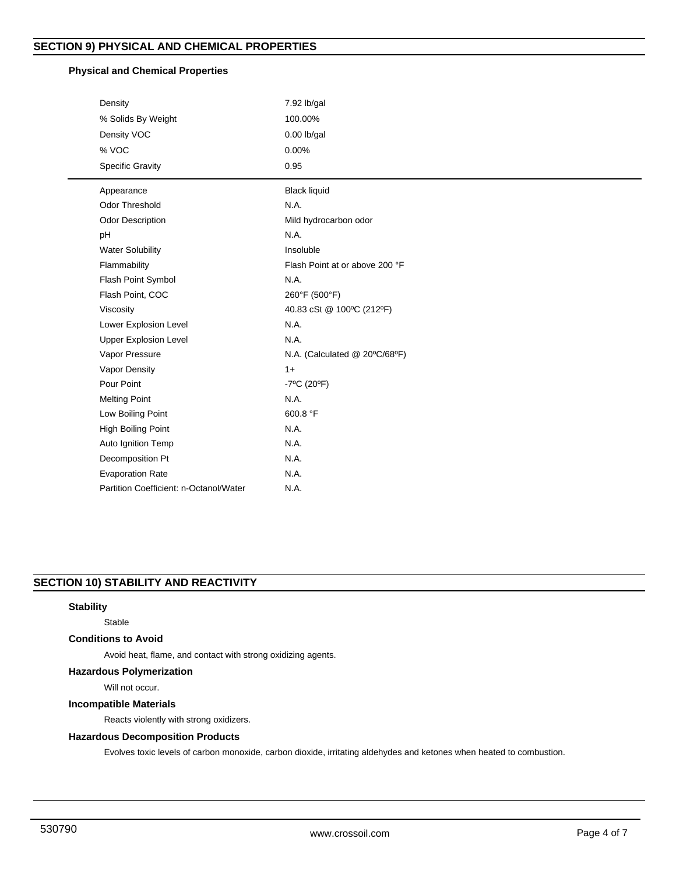# **Physical and Chemical Properties**

| Density                                | 7.92 lb/gal                      |
|----------------------------------------|----------------------------------|
| % Solids By Weight                     | 100.00%                          |
| Density VOC                            | $0.00$ lb/gal                    |
| % VOC                                  | 0.00%                            |
| Specific Gravity                       | 0.95                             |
| Appearance                             | <b>Black liquid</b>              |
| <b>Odor Threshold</b>                  | N.A.                             |
| <b>Odor Description</b>                | Mild hydrocarbon odor            |
| pH                                     | N.A.                             |
| <b>Water Solubility</b>                | Insoluble                        |
| Flammability                           | Flash Point at or above 200 °F   |
| Flash Point Symbol                     | N.A.                             |
| Flash Point, COC                       | 260°F (500°F)                    |
| Viscosity                              | 40.83 cSt @ 100°C (212°F)        |
| Lower Explosion Level                  | N.A.                             |
| <b>Upper Explosion Level</b>           | N.A.                             |
| Vapor Pressure                         | N.A. (Calculated @ 20°C/68°F)    |
| Vapor Density                          | $1+$                             |
| Pour Point                             | $-7^{\circ}$ C (20 $^{\circ}$ F) |
| <b>Melting Point</b>                   | N.A.                             |
| Low Boiling Point                      | 600.8 °F                         |
| High Boiling Point                     | N.A.                             |
| Auto Ignition Temp                     | N.A.                             |
| Decomposition Pt                       | N.A.                             |
| <b>Evaporation Rate</b>                | N.A.                             |
| Partition Coefficient: n-Octanol/Water | N.A.                             |

# **SECTION 10) STABILITY AND REACTIVITY**

# **Stability**

## Stable

# **Conditions to Avoid**

Avoid heat, flame, and contact with strong oxidizing agents.

# **Hazardous Polymerization**

Will not occur.

# **Incompatible Materials**

Reacts violently with strong oxidizers.

# **Hazardous Decomposition Products**

Evolves toxic levels of carbon monoxide, carbon dioxide, irritating aldehydes and ketones when heated to combustion.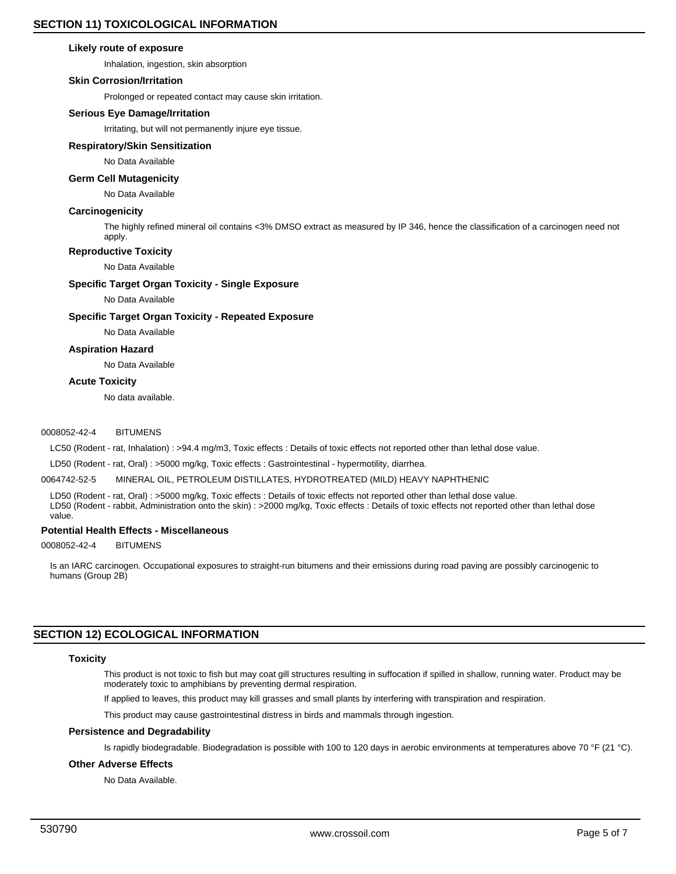## **Likely route of exposure**

Inhalation, ingestion, skin absorption

## **Skin Corrosion/Irritation**

Prolonged or repeated contact may cause skin irritation.

## **Serious Eye Damage/Irritation**

Irritating, but will not permanently injure eye tissue.

## **Respiratory/Skin Sensitization**

No Data Available

# **Germ Cell Mutagenicity**

No Data Available

## **Carcinogenicity**

The highly refined mineral oil contains <3% DMSO extract as measured by IP 346, hence the classification of a carcinogen need not apply.

## **Reproductive Toxicity**

No Data Available

## **Specific Target Organ Toxicity - Single Exposure**

No Data Available

## **Specific Target Organ Toxicity - Repeated Exposure**

No Data Available

## **Aspiration Hazard**

No Data Available

## **Acute Toxicity**

No data available.

## 0008052-42-4 BITUMENS

LC50 (Rodent - rat, Inhalation) : >94.4 mg/m3, Toxic effects : Details of toxic effects not reported other than lethal dose value.

LD50 (Rodent - rat, Oral) : >5000 mg/kg, Toxic effects : Gastrointestinal - hypermotility, diarrhea.

## 0064742-52-5 MINERAL OIL, PETROLEUM DISTILLATES, HYDROTREATED (MILD) HEAVY NAPHTHENIC

LD50 (Rodent - rat, Oral) : >5000 mg/kg, Toxic effects : Details of toxic effects not reported other than lethal dose value. LD50 (Rodent - rabbit, Administration onto the skin) : >2000 mg/kg, Toxic effects : Details of toxic effects not reported other than lethal dose value.

## **Potential Health Effects - Miscellaneous**

0008052-42-4 BITUMENS

Is an IARC carcinogen. Occupational exposures to straight-run bitumens and their emissions during road paving are possibly carcinogenic to humans (Group 2B)

# **SECTION 12) ECOLOGICAL INFORMATION**

## **Toxicity**

This product is not toxic to fish but may coat gill structures resulting in suffocation if spilled in shallow, running water. Product may be moderately toxic to amphibians by preventing dermal respiration.

If applied to leaves, this product may kill grasses and small plants by interfering with transpiration and respiration.

This product may cause gastrointestinal distress in birds and mammals through ingestion.

## **Persistence and Degradability**

Is rapidly biodegradable. Biodegradation is possible with 100 to 120 days in aerobic environments at temperatures above 70 °F (21 °C).

## **Other Adverse Effects**

No Data Available.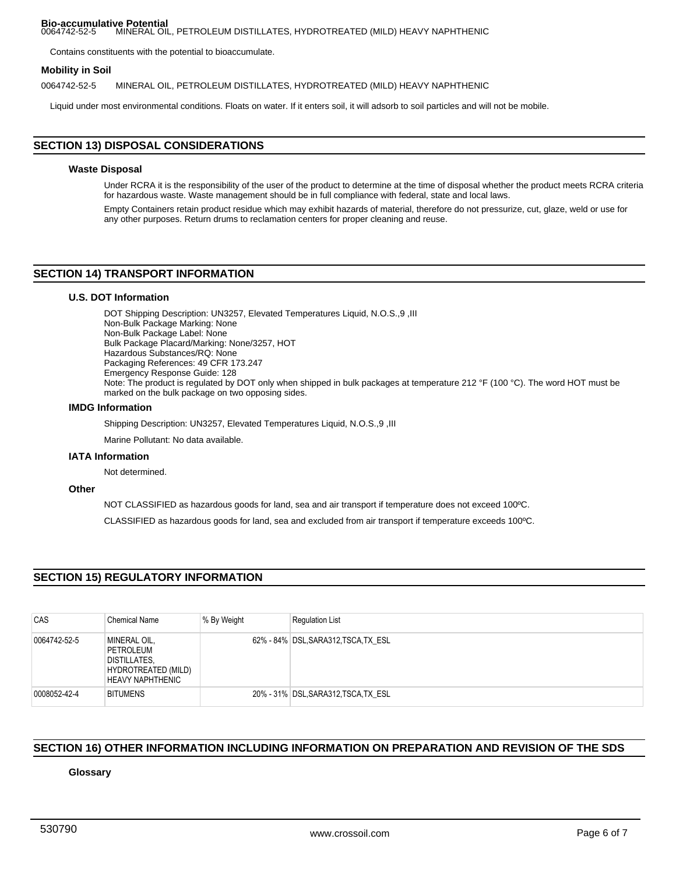#### **Bio-accumulative Potential**<br>0064742-52-5 MINERAL OIL 0064742-52-5 MINERAL OIL, PETROLEUM DISTILLATES, HYDROTREATED (MILD) HEAVY NAPHTHENIC

Contains constituents with the potential to bioaccumulate.

## **Mobility in Soil**

0064742-52-5 MINERAL OIL, PETROLEUM DISTILLATES, HYDROTREATED (MILD) HEAVY NAPHTHENIC

Liquid under most environmental conditions. Floats on water. If it enters soil, it will adsorb to soil particles and will not be mobile.

# **SECTION 13) DISPOSAL CONSIDERATIONS**

## **Waste Disposal**

Under RCRA it is the responsibility of the user of the product to determine at the time of disposal whether the product meets RCRA criteria for hazardous waste. Waste management should be in full compliance with federal, state and local laws.

Empty Containers retain product residue which may exhibit hazards of material, therefore do not pressurize, cut, glaze, weld or use for any other purposes. Return drums to reclamation centers for proper cleaning and reuse.

# **SECTION 14) TRANSPORT INFORMATION**

## **U.S. DOT Information**

DOT Shipping Description: UN3257, Elevated Temperatures Liquid, N.O.S.,9 ,III Non-Bulk Package Marking: None Non-Bulk Package Label: None Bulk Package Placard/Marking: None/3257, HOT Hazardous Substances/RQ: None Packaging References: 49 CFR 173.247 Emergency Response Guide: 128 Note: The product is regulated by DOT only when shipped in bulk packages at temperature 212 °F (100 °C). The word HOT must be marked on the bulk package on two opposing sides.

## **IMDG Information**

Shipping Description: UN3257, Elevated Temperatures Liquid, N.O.S.,9 ,III

Marine Pollutant: No data available.

## **IATA Information**

Not determined.

## **Other**

NOT CLASSIFIED as hazardous goods for land, sea and air transport if temperature does not exceed 100ºC.

CLASSIFIED as hazardous goods for land, sea and excluded from air transport if temperature exceeds 100ºC.

# **SECTION 15) REGULATORY INFORMATION**

| CAS          | <b>Chemical Name</b>                                                                        | % By Weight | <b>Regulation List</b>               |
|--------------|---------------------------------------------------------------------------------------------|-------------|--------------------------------------|
| 0064742-52-5 | MINERAL OIL,<br>PETROLEUM<br>DISTILLATES,<br>HYDROTREATED (MILD)<br><b>HEAVY NAPHTHENIC</b> |             | 62% - 84% DSL, SARA312, TSCA, TX ESL |
| 0008052-42-4 | <b>BITUMENS</b>                                                                             |             | 20% - 31% DSL, SARA312, TSCA, TX ESL |

# **SECTION 16) OTHER INFORMATION INCLUDING INFORMATION ON PREPARATION AND REVISION OF THE SDS**

**Glossary**